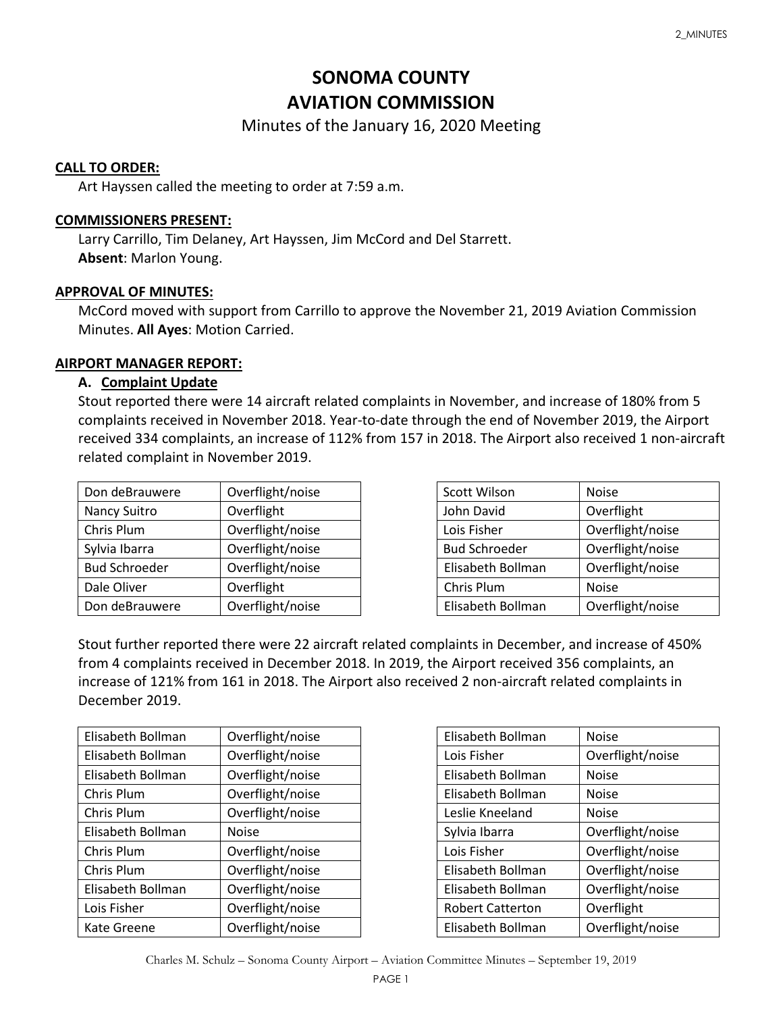# **SONOMA COUNTY AVIATION COMMISSION**

Minutes of the January 16, 2020 Meeting

# **CALL TO ORDER:**

Art Hayssen called the meeting to order at 7:59 a.m.

# **COMMISSIONERS PRESENT:**

Larry Carrillo, Tim Delaney, Art Hayssen, Jim McCord and Del Starrett. **Absent**: Marlon Young.

# **APPROVAL OF MINUTES:**

McCord moved with support from Carrillo to approve the November 21, 2019 Aviation Commission Minutes. **All Ayes**: Motion Carried.

# **AIRPORT MANAGER REPORT:**

# **A. Complaint Update**

Stout reported there were 14 aircraft related complaints in November, and increase of 180% from 5 complaints received in November 2018. Year-to-date through the end of November 2019, the Airport received 334 complaints, an increase of 112% from 157 in 2018. The Airport also received 1 non-aircraft related complaint in November 2019.

| Don deBrauwere       | Overflight/noise |
|----------------------|------------------|
| Nancy Suitro         | Overflight       |
| Chris Plum           | Overflight/noise |
| Sylvia Ibarra        | Overflight/noise |
| <b>Bud Schroeder</b> | Overflight/noise |
| Dale Oliver          | Overflight       |
| Don deBrauwere       | Overflight/noise |

| <b>Scott Wilson</b>  | <b>Noise</b>     |
|----------------------|------------------|
| John David           | Overflight       |
| Lois Fisher          | Overflight/noise |
| <b>Bud Schroeder</b> | Overflight/noise |
| Elisabeth Bollman    | Overflight/noise |
| Chris Plum           | <b>Noise</b>     |
| Elisabeth Bollman    | Overflight/noise |

Stout further reported there were 22 aircraft related complaints in December, and increase of 450% from 4 complaints received in December 2018. In 2019, the Airport received 356 complaints, an increase of 121% from 161 in 2018. The Airport also received 2 non-aircraft related complaints in December 2019.

| Elisabeth Bollman | Overflight/noise |
|-------------------|------------------|
| Elisabeth Bollman | Overflight/noise |
| Elisabeth Bollman | Overflight/noise |
| Chris Plum        | Overflight/noise |
| Chris Plum        | Overflight/noise |
| Elisabeth Bollman | <b>Noise</b>     |
| Chris Plum        | Overflight/noise |
| Chris Plum        | Overflight/noise |
| Elisabeth Bollman | Overflight/noise |
| Lois Fisher       | Overflight/noise |
| Kate Greene       | Overflight/noise |

| Elisabeth Bollman       | <b>Noise</b>     |
|-------------------------|------------------|
| Lois Fisher             | Overflight/noise |
| Elisabeth Bollman       | <b>Noise</b>     |
| Elisabeth Bollman       | <b>Noise</b>     |
| Leslie Kneeland         | <b>Noise</b>     |
| Sylvia Ibarra           | Overflight/noise |
| Lois Fisher             | Overflight/noise |
| Elisabeth Bollman       | Overflight/noise |
| Elisabeth Bollman       | Overflight/noise |
| <b>Robert Catterton</b> | Overflight       |
| Elisabeth Bollman       | Overflight/noise |

Charles M. Schulz – Sonoma County Airport – Aviation Committee Minutes – September 19, 2019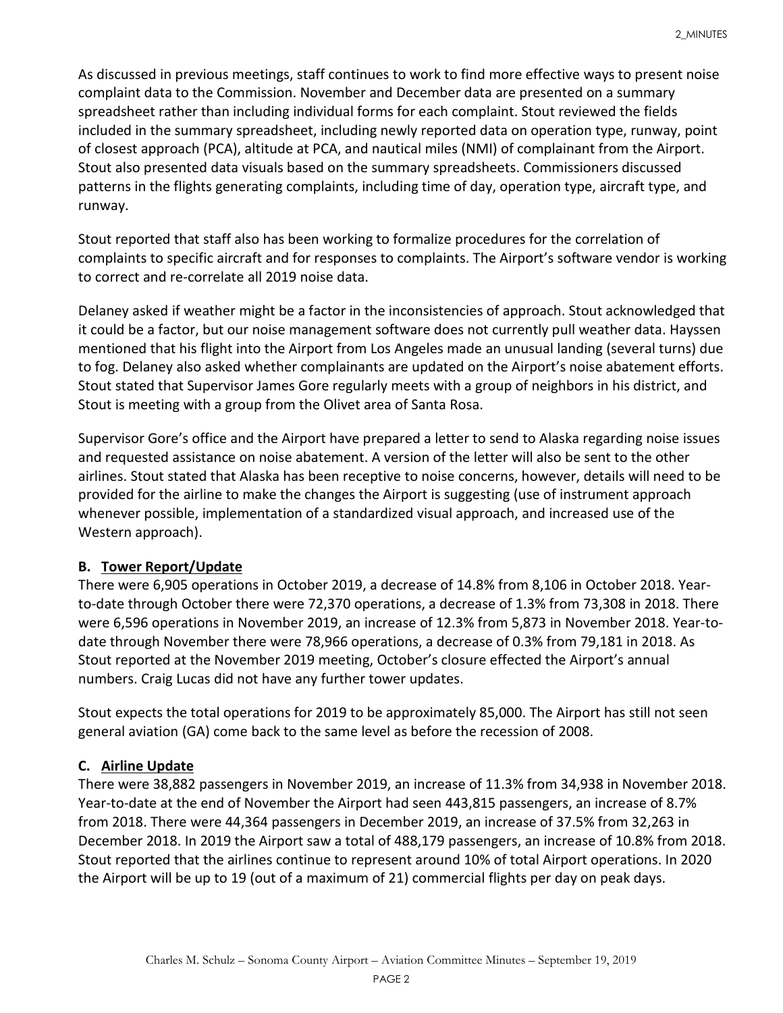As discussed in previous meetings, staff continues to work to find more effective ways to present noise complaint data to the Commission. November and December data are presented on a summary spreadsheet rather than including individual forms for each complaint. Stout reviewed the fields included in the summary spreadsheet, including newly reported data on operation type, runway, point of closest approach (PCA), altitude at PCA, and nautical miles (NMI) of complainant from the Airport. Stout also presented data visuals based on the summary spreadsheets. Commissioners discussed patterns in the flights generating complaints, including time of day, operation type, aircraft type, and runway.

Stout reported that staff also has been working to formalize procedures for the correlation of complaints to specific aircraft and for responses to complaints. The Airport's software vendor is working to correct and re-correlate all 2019 noise data.

Delaney asked if weather might be a factor in the inconsistencies of approach. Stout acknowledged that it could be a factor, but our noise management software does not currently pull weather data. Hayssen mentioned that his flight into the Airport from Los Angeles made an unusual landing (several turns) due to fog. Delaney also asked whether complainants are updated on the Airport's noise abatement efforts. Stout stated that Supervisor James Gore regularly meets with a group of neighbors in his district, and Stout is meeting with a group from the Olivet area of Santa Rosa.

Supervisor Gore's office and the Airport have prepared a letter to send to Alaska regarding noise issues and requested assistance on noise abatement. A version of the letter will also be sent to the other airlines. Stout stated that Alaska has been receptive to noise concerns, however, details will need to be provided for the airline to make the changes the Airport is suggesting (use of instrument approach whenever possible, implementation of a standardized visual approach, and increased use of the Western approach).

# **B. Tower Report/Update**

There were 6,905 operations in October 2019, a decrease of 14.8% from 8,106 in October 2018. Yearto-date through October there were 72,370 operations, a decrease of 1.3% from 73,308 in 2018. There were 6,596 operations in November 2019, an increase of 12.3% from 5,873 in November 2018. Year-todate through November there were 78,966 operations, a decrease of 0.3% from 79,181 in 2018. As Stout reported at the November 2019 meeting, October's closure effected the Airport's annual numbers. Craig Lucas did not have any further tower updates.

Stout expects the total operations for 2019 to be approximately 85,000. The Airport has still not seen general aviation (GA) come back to the same level as before the recession of 2008.

# **C. Airline Update**

There were 38,882 passengers in November 2019, an increase of 11.3% from 34,938 in November 2018. Year-to-date at the end of November the Airport had seen 443,815 passengers, an increase of 8.7% from 2018. There were 44,364 passengers in December 2019, an increase of 37.5% from 32,263 in December 2018. In 2019 the Airport saw a total of 488,179 passengers, an increase of 10.8% from 2018. Stout reported that the airlines continue to represent around 10% of total Airport operations. In 2020 the Airport will be up to 19 (out of a maximum of 21) commercial flights per day on peak days.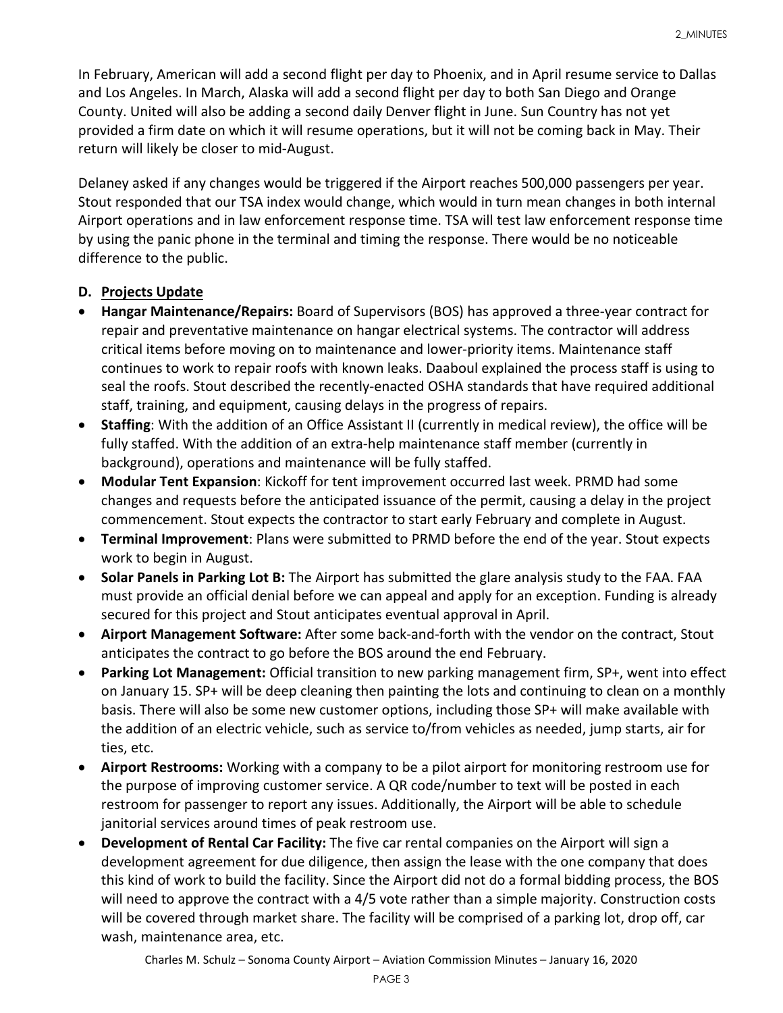In February, American will add a second flight per day to Phoenix, and in April resume service to Dallas and Los Angeles. In March, Alaska will add a second flight per day to both San Diego and Orange County. United will also be adding a second daily Denver flight in June. Sun Country has not yet provided a firm date on which it will resume operations, but it will not be coming back in May. Their return will likely be closer to mid-August.

Delaney asked if any changes would be triggered if the Airport reaches 500,000 passengers per year. Stout responded that our TSA index would change, which would in turn mean changes in both internal Airport operations and in law enforcement response time. TSA will test law enforcement response time by using the panic phone in the terminal and timing the response. There would be no noticeable difference to the public.

# **D. Projects Update**

- **Hangar Maintenance/Repairs:** Board of Supervisors (BOS) has approved a three-year contract for repair and preventative maintenance on hangar electrical systems. The contractor will address critical items before moving on to maintenance and lower-priority items. Maintenance staff continues to work to repair roofs with known leaks. Daaboul explained the process staff is using to seal the roofs. Stout described the recently-enacted OSHA standards that have required additional staff, training, and equipment, causing delays in the progress of repairs.
- **Staffing**: With the addition of an Office Assistant II (currently in medical review), the office will be fully staffed. With the addition of an extra-help maintenance staff member (currently in background), operations and maintenance will be fully staffed.
- **Modular Tent Expansion**: Kickoff for tent improvement occurred last week. PRMD had some changes and requests before the anticipated issuance of the permit, causing a delay in the project commencement. Stout expects the contractor to start early February and complete in August.
- **Terminal Improvement**: Plans were submitted to PRMD before the end of the year. Stout expects work to begin in August.
- **Solar Panels in Parking Lot B:** The Airport has submitted the glare analysis study to the FAA. FAA must provide an official denial before we can appeal and apply for an exception. Funding is already secured for this project and Stout anticipates eventual approval in April.
- **Airport Management Software:** After some back-and-forth with the vendor on the contract, Stout anticipates the contract to go before the BOS around the end February.
- **Parking Lot Management:** Official transition to new parking management firm, SP+, went into effect on January 15. SP+ will be deep cleaning then painting the lots and continuing to clean on a monthly basis. There will also be some new customer options, including those SP+ will make available with the addition of an electric vehicle, such as service to/from vehicles as needed, jump starts, air for ties, etc.
- **Airport Restrooms:** Working with a company to be a pilot airport for monitoring restroom use for the purpose of improving customer service. A QR code/number to text will be posted in each restroom for passenger to report any issues. Additionally, the Airport will be able to schedule janitorial services around times of peak restroom use.
- **Development of Rental Car Facility:** The five car rental companies on the Airport will sign a development agreement for due diligence, then assign the lease with the one company that does this kind of work to build the facility. Since the Airport did not do a formal bidding process, the BOS will need to approve the contract with a 4/5 vote rather than a simple majority. Construction costs will be covered through market share. The facility will be comprised of a parking lot, drop off, car wash, maintenance area, etc.